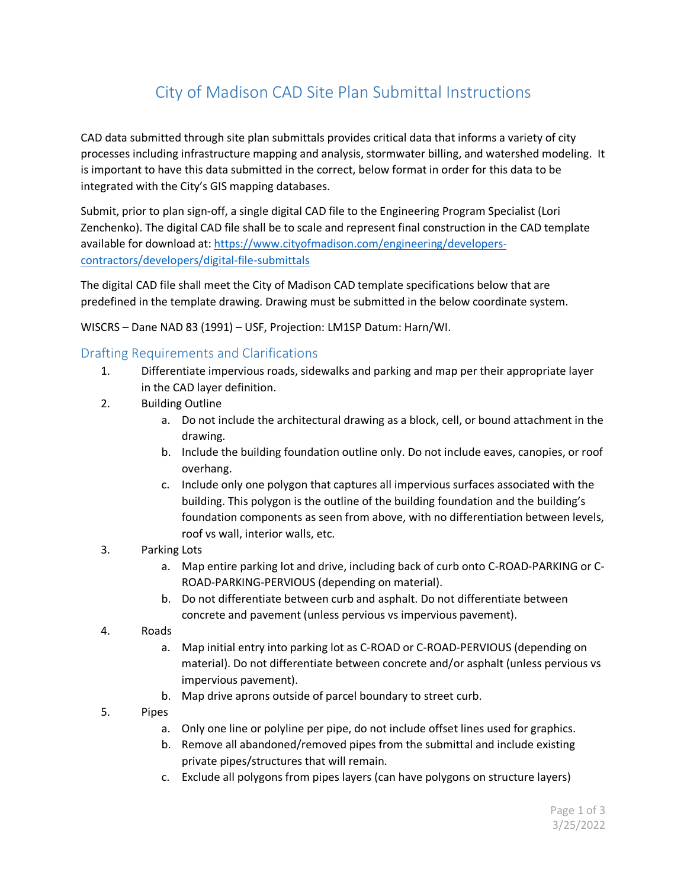## City of Madison CAD Site Plan Submittal Instructions

CAD data submitted through site plan submittals provides critical data that informs a variety of city processes including infrastructure mapping and analysis, stormwater billing, and watershed modeling. It is important to have this data submitted in the correct, below format in order for this data to be integrated with the City's GIS mapping databases.

Submit, prior to plan sign-off, a single digital CAD file to the Engineering Program Specialist (Lori Zenchenko). The digital CAD file shall be to scale and represent final construction in the CAD template available for download at: [https://www.cityofmadison.com/engineering/developers](https://www.cityofmadison.com/engineering/developers-contractors/developers/digital-file-submittals)[contractors/developers/digital-file-submittals](https://www.cityofmadison.com/engineering/developers-contractors/developers/digital-file-submittals)

The digital CAD file shall meet the City of Madison CAD template specifications below that are predefined in the template drawing. Drawing must be submitted in the below coordinate system.

WISCRS – Dane NAD 83 (1991) – USF, Projection: LM1SP Datum: Harn/WI.

## Drafting Requirements and Clarifications

- 1. Differentiate impervious roads, sidewalks and parking and map per their appropriate layer in the CAD layer definition.
- 2. Building Outline
	- a. Do not include the architectural drawing as a block, cell, or bound attachment in the drawing.
	- b. Include the building foundation outline only. Do not include eaves, canopies, or roof overhang.
	- c. Include only one polygon that captures all impervious surfaces associated with the building. This polygon is the outline of the building foundation and the building's foundation components as seen from above, with no differentiation between levels, roof vs wall, interior walls, etc.
- 3. Parking Lots
	- a. Map entire parking lot and drive, including back of curb onto C-ROAD-PARKING or C-ROAD-PARKING-PERVIOUS (depending on material).
	- b. Do not differentiate between curb and asphalt. Do not differentiate between concrete and pavement (unless pervious vs impervious pavement).
- 4. Roads
	- a. Map initial entry into parking lot as C-ROAD or C-ROAD-PERVIOUS (depending on material). Do not differentiate between concrete and/or asphalt (unless pervious vs impervious pavement).
	- b. Map drive aprons outside of parcel boundary to street curb.
- 5. Pipes
	- a. Only one line or polyline per pipe, do not include offset lines used for graphics.
	- b. Remove all abandoned/removed pipes from the submittal and include existing private pipes/structures that will remain.
	- c. Exclude all polygons from pipes layers (can have polygons on structure layers)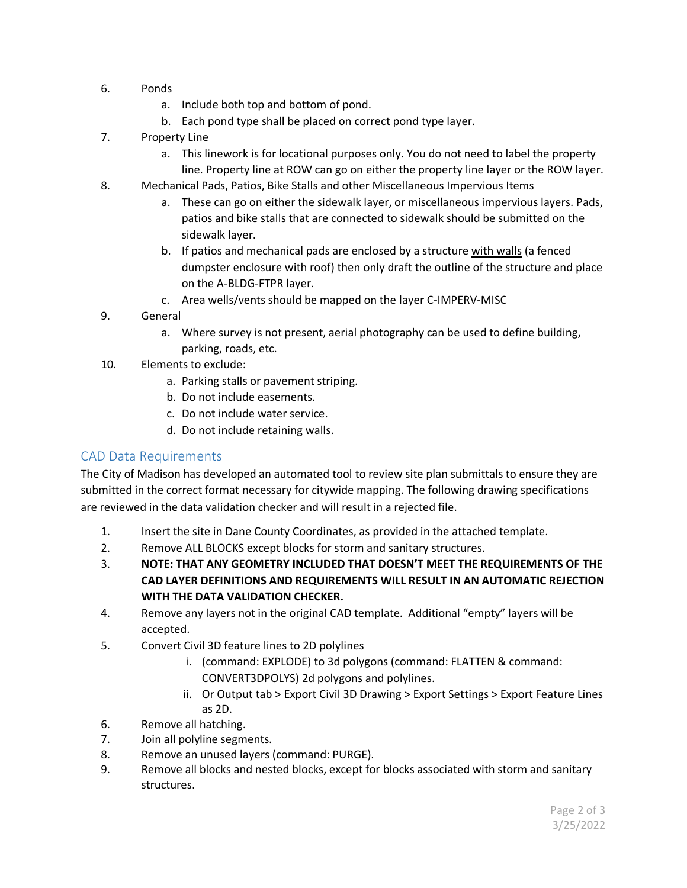- 6. Ponds
	- a. Include both top and bottom of pond.
	- b. Each pond type shall be placed on correct pond type layer.
- 7. Property Line
	- a. This linework is for locational purposes only. You do not need to label the property line. Property line at ROW can go on either the property line layer or the ROW layer.
- 8. Mechanical Pads, Patios, Bike Stalls and other Miscellaneous Impervious Items
	- a. These can go on either the sidewalk layer, or miscellaneous impervious layers. Pads, patios and bike stalls that are connected to sidewalk should be submitted on the sidewalk layer.
	- b. If patios and mechanical pads are enclosed by a structure with walls (a fenced dumpster enclosure with roof) then only draft the outline of the structure and place on the A-BLDG-FTPR layer.
	- c. Area wells/vents should be mapped on the layer C-IMPERV-MISC
- 9. General
	- a. Where survey is not present, aerial photography can be used to define building, parking, roads, etc.
- 10. Elements to exclude:
	- a. Parking stalls or pavement striping.
	- b. Do not include easements.
	- c. Do not include water service.
	- d. Do not include retaining walls.

## CAD Data Requirements

The City of Madison has developed an automated tool to review site plan submittals to ensure they are submitted in the correct format necessary for citywide mapping. The following drawing specifications are reviewed in the data validation checker and will result in a rejected file.

- 1. Insert the site in Dane County Coordinates, as provided in the attached template.
- 2. Remove ALL BLOCKS except blocks for storm and sanitary structures.
- 3. **NOTE: THAT ANY GEOMETRY INCLUDED THAT DOESN'T MEET THE REQUIREMENTS OF THE CAD LAYER DEFINITIONS AND REQUIREMENTS WILL RESULT IN AN AUTOMATIC REJECTION WITH THE DATA VALIDATION CHECKER.**
- 4. Remove any layers not in the original CAD template. Additional "empty" layers will be accepted.
- 5. Convert Civil 3D feature lines to 2D polylines
	- i. (command: EXPLODE) to 3d polygons (command: FLATTEN & command: CONVERT3DPOLYS) 2d polygons and polylines.
	- ii. Or Output tab > Export Civil 3D Drawing > Export Settings > Export Feature Lines as 2D.
- 6. Remove all hatching.
- 7. Join all polyline segments.
- 8. Remove an unused layers (command: PURGE).
- 9. Remove all blocks and nested blocks, except for blocks associated with storm and sanitary structures.